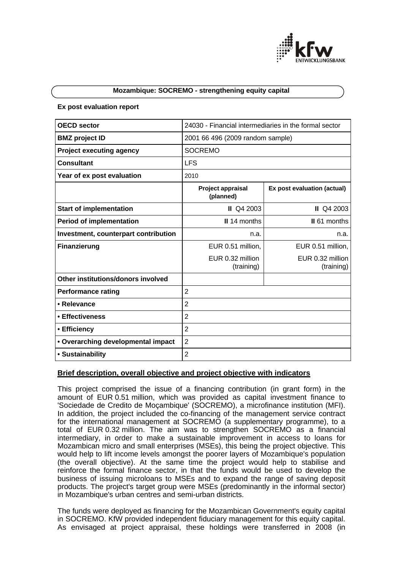

#### **Mozambique: SOCREMO - strengthening equity capital**

#### **Ex post evaluation report**

| <b>OECD</b> sector                   | 24030 - Financial intermediaries in the formal sector |                                |
|--------------------------------------|-------------------------------------------------------|--------------------------------|
| <b>BMZ</b> project ID                | 2001 66 496 (2009 random sample)                      |                                |
| <b>Project executing agency</b>      | <b>SOCREMO</b>                                        |                                |
| <b>Consultant</b>                    | <b>LFS</b>                                            |                                |
| Year of ex post evaluation           | 2010                                                  |                                |
|                                      | <b>Project appraisal</b><br>(planned)                 | Ex post evaluation (actual)    |
| <b>Start of implementation</b>       | <b>II</b> Q4 2003                                     | <b>II</b> Q4 2003              |
| <b>Period of implementation</b>      | <b>II</b> 14 months                                   | II 61 months                   |
| Investment, counterpart contribution | n.a.                                                  | n.a.                           |
| <b>Finanzierung</b>                  | EUR 0.51 million,                                     | EUR 0.51 million,              |
|                                      | EUR 0.32 million<br>(training)                        | EUR 0.32 million<br>(training) |
| Other institutions/donors involved   |                                                       |                                |
| <b>Performance rating</b>            | $\overline{2}$                                        |                                |
| • Relevance                          | $\overline{2}$                                        |                                |
| • Effectiveness                      | $\overline{2}$                                        |                                |
| • Efficiency                         | $\overline{2}$                                        |                                |
| • Overarching developmental impact   | $\overline{2}$                                        |                                |
| • Sustainability                     | $\overline{2}$                                        |                                |

# **Brief description, overall objective and project objective with indicators**

This project comprised the issue of a financing contribution (in grant form) in the amount of EUR 0.51 million, which was provided as capital investment finance to 'Sociedade de Credito de Moçambique' (SOCREMO), a microfinance institution (MFI). In addition, the project included the co-financing of the management service contract for the international management at SOCREMO (a supplementary programme), to a total of EUR 0.32 million. The aim was to strengthen SOCREMO as a financial intermediary, in order to make a sustainable improvement in access to loans for Mozambican micro and small enterprises (MSEs), this being the project objective. This would help to lift income levels amongst the poorer layers of Mozambique's population (the overall objective). At the same time the project would help to stabilise and reinforce the formal finance sector, in that the funds would be used to develop the business of issuing microloans to MSEs and to expand the range of saving deposit products. The project's target group were MSEs (predominantly in the informal sector) in Mozambique's urban centres and semi-urban districts.

The funds were deployed as financing for the Mozambican Government's equity capital in SOCREMO. KfW provided independent fiduciary management for this equity capital. As envisaged at project appraisal, these holdings were transferred in 2008 (in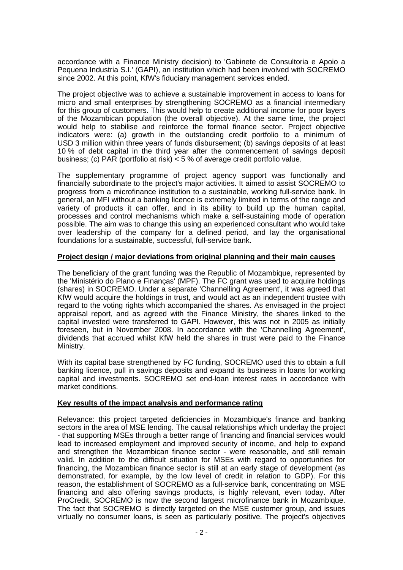accordance with a Finance Ministry decision) to 'Gabinete de Consultoria e Apoio a Pequena Industria S.I.' (GAPI), an institution which had been involved with SOCREMO since 2002. At this point, KfW's fiduciary management services ended.

The project objective was to achieve a sustainable improvement in access to loans for micro and small enterprises by strengthening SOCREMO as a financial intermediary for this group of customers. This would help to create additional income for poor layers of the Mozambican population (the overall objective). At the same time, the project would help to stabilise and reinforce the formal finance sector. Project objective indicators were: (a) growth in the outstanding credit portfolio to a minimum of USD 3 million within three years of funds disbursement; (b) savings deposits of at least 10 % of debt capital in the third year after the commencement of savings deposit business; (c) PAR (portfolio at risk) < 5 % of average credit portfolio value.

The supplementary programme of project agency support was functionally and financially subordinate to the project's major activities. It aimed to assist SOCREMO to progress from a microfinance institution to a sustainable, working full-service bank. In general, an MFI without a banking licence is extremely limited in terms of the range and variety of products it can offer, and in its ability to build up the human capital, processes and control mechanisms which make a self-sustaining mode of operation possible. The aim was to change this using an experienced consultant who would take over leadership of the company for a defined period, and lay the organisational foundations for a sustainable, successful, full-service bank.

# **Project design / major deviations from original planning and their main causes**

The beneficiary of the grant funding was the Republic of Mozambique, represented by the 'Ministério do Plano e Finanças' (MPF). The FC grant was used to acquire holdings (shares) in SOCREMO. Under a separate 'Channelling Agreement', it was agreed that KfW would acquire the holdings in trust, and would act as an independent trustee with regard to the voting rights which accompanied the shares. As envisaged in the project appraisal report, and as agreed with the Finance Ministry, the shares linked to the capital invested were transferred to GAPI. However, this was not in 2005 as initially foreseen, but in November 2008. In accordance with the 'Channelling Agreement', dividends that accrued whilst KfW held the shares in trust were paid to the Finance Ministry.

With its capital base strengthened by FC funding, SOCREMO used this to obtain a full banking licence, pull in savings deposits and expand its business in loans for working capital and investments. SOCREMO set end-loan interest rates in accordance with market conditions.

## **Key results of the impact analysis and performance rating**

Relevance: this project targeted deficiencies in Mozambique's finance and banking sectors in the area of MSE lending. The causal relationships which underlay the project - that supporting MSEs through a better range of financing and financial services would lead to increased employment and improved security of income, and help to expand and strengthen the Mozambican finance sector - were reasonable, and still remain valid. In addition to the difficult situation for MSEs with regard to opportunities for financing, the Mozambican finance sector is still at an early stage of development (as demonstrated, for example, by the low level of credit in relation to GDP). For this reason, the establishment of SOCREMO as a full-service bank, concentrating on MSE financing and also offering savings products, is highly relevant, even today. After ProCredit, SOCREMO is now the second largest microfinance bank in Mozambique. The fact that SOCREMO is directly targeted on the MSE customer group, and issues virtually no consumer loans, is seen as particularly positive. The project's objectives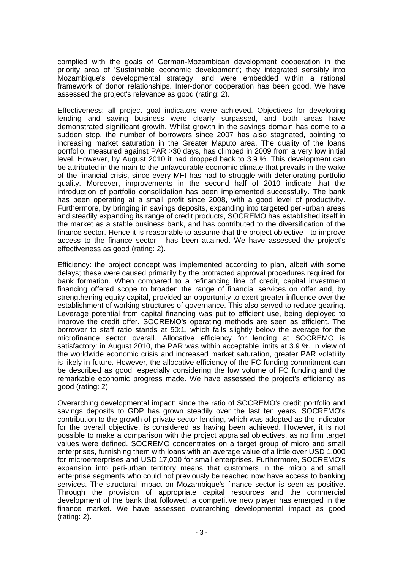complied with the goals of German-Mozambican development cooperation in the priority area of 'Sustainable economic development'; they integrated sensibly into Mozambique's developmental strategy, and were embedded within a rational framework of donor relationships. Inter-donor cooperation has been good. We have assessed the project's relevance as good (rating: 2).

Effectiveness: all project goal indicators were achieved. Objectives for developing lending and saving business were clearly surpassed, and both areas have demonstrated significant growth. Whilst growth in the savings domain has come to a sudden stop, the number of borrowers since 2007 has also stagnated, pointing to increasing market saturation in the Greater Maputo area. The quality of the loans portfolio, measured against PAR >30 days, has climbed in 2009 from a very low initial level. However, by August 2010 it had dropped back to 3.9 %. This development can be attributed in the main to the unfavourable economic climate that prevails in the wake of the financial crisis, since every MFI has had to struggle with deteriorating portfolio quality. Moreover, improvements in the second half of 2010 indicate that the introduction of portfolio consolidation has been implemented successfully. The bank has been operating at a small profit since 2008, with a good level of productivity. Furthermore, by bringing in savings deposits, expanding into targeted peri-urban areas and steadily expanding its range of credit products, SOCREMO has established itself in the market as a stable business bank, and has contributed to the diversification of the finance sector. Hence it is reasonable to assume that the project objective - to improve access to the finance sector - has been attained. We have assessed the project's effectiveness as good (rating: 2).

Efficiency: the project concept was implemented according to plan, albeit with some delays; these were caused primarily by the protracted approval procedures required for bank formation. When compared to a refinancing line of credit, capital investment financing offered scope to broaden the range of financial services on offer and, by strengthening equity capital, provided an opportunity to exert greater influence over the establishment of working structures of governance. This also served to reduce gearing. Leverage potential from capital financing was put to efficient use, being deployed to improve the credit offer. SOCREMO's operating methods are seen as efficient. The borrower to staff ratio stands at 50:1, which falls slightly below the average for the microfinance sector overall. Allocative efficiency for lending at SOCREMO is satisfactory: in August 2010, the PAR was within acceptable limits at 3.9 %. In view of the worldwide economic crisis and increased market saturation, greater PAR volatility is likely in future. However, the allocative efficiency of the FC funding commitment can be described as good, especially considering the low volume of FC funding and the remarkable economic progress made. We have assessed the project's efficiency as good (rating: 2).

Overarching developmental impact: since the ratio of SOCREMO's credit portfolio and savings deposits to GDP has grown steadily over the last ten years, SOCREMO's contribution to the growth of private sector lending, which was adopted as the indicator for the overall objective, is considered as having been achieved. However, it is not possible to make a comparison with the project appraisal objectives, as no firm target values were defined. SOCREMO concentrates on a target group of micro and small enterprises, furnishing them with loans with an average value of a little over USD 1,000 for microenterprises and USD 17,000 for small enterprises. Furthermore, SOCREMO's expansion into peri-urban territory means that customers in the micro and small enterprise segments who could not previously be reached now have access to banking services. The structural impact on Mozambique's finance sector is seen as positive. Through the provision of appropriate capital resources and the commercial development of the bank that followed, a competitive new player has emerged in the finance market. We have assessed overarching developmental impact as good (rating: 2).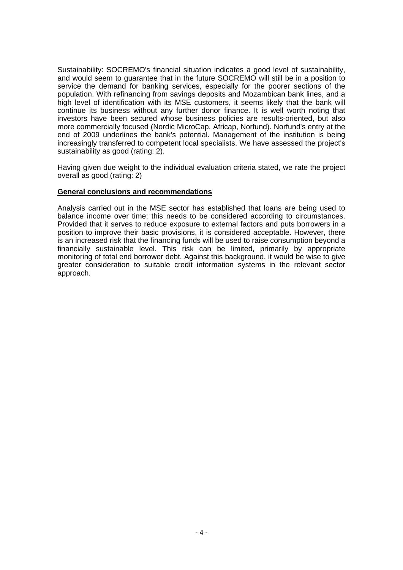Sustainability: SOCREMO's financial situation indicates a good level of sustainability, and would seem to guarantee that in the future SOCREMO will still be in a position to service the demand for banking services, especially for the poorer sections of the population. With refinancing from savings deposits and Mozambican bank lines, and a high level of identification with its MSE customers, it seems likely that the bank will continue its business without any further donor finance. It is well worth noting that investors have been secured whose business policies are results-oriented, but also more commercially focused (Nordic MicroCap, Africap, Norfund). Norfund's entry at the end of 2009 underlines the bank's potential. Management of the institution is being increasingly transferred to competent local specialists. We have assessed the project's sustainability as good (rating: 2).

Having given due weight to the individual evaluation criteria stated, we rate the project overall as good (rating: 2)

# **General conclusions and recommendations**

Analysis carried out in the MSE sector has established that loans are being used to balance income over time; this needs to be considered according to circumstances. Provided that it serves to reduce exposure to external factors and puts borrowers in a position to improve their basic provisions, it is considered acceptable. However, there is an increased risk that the financing funds will be used to raise consumption beyond a financially sustainable level. This risk can be limited, primarily by appropriate monitoring of total end borrower debt. Against this background, it would be wise to give greater consideration to suitable credit information systems in the relevant sector approach.